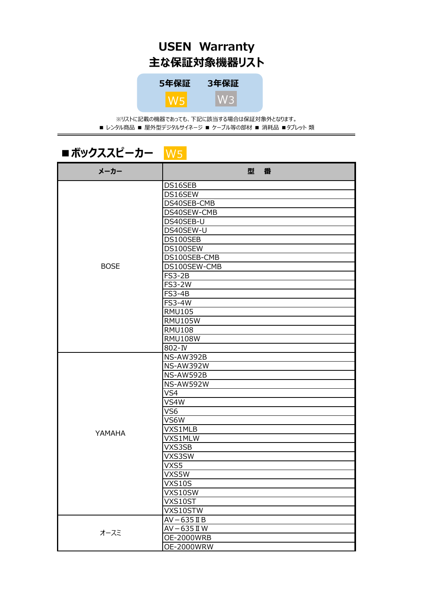## **USEN Warranty 主な保証対象機器リスト**



※リストに記載の機器であっても、下記に該当する場合は保証対象外となります。 ■ レンタル商品 ■ 屋外型デジタルサイネージ ■ ケーブル等の部材 ■ 消耗品 ■ タブレット 類

### ■ボックススピーカー W5

| メーカー        | 型<br>番            |
|-------------|-------------------|
|             | DS16SEB           |
|             | DS16SEW           |
|             | DS40SEB-CMB       |
|             | DS40SEW-CMB       |
|             | DS40SEB-U         |
|             | DS40SEW-U         |
|             | DS100SEB          |
|             | DS100SEW          |
|             | DS100SEB-CMB      |
| <b>BOSE</b> | DS100SEW-CMB      |
|             | <b>FS3-2B</b>     |
|             | <b>FS3-2W</b>     |
|             | <b>FS3-4B</b>     |
|             | <b>FS3-4W</b>     |
|             | <b>RMU105</b>     |
|             | <b>RMU105W</b>    |
|             | <b>RMU108</b>     |
|             | <b>RMU108W</b>    |
|             | 802-IV            |
|             | NS-AW392B         |
|             | <b>NS-AW392W</b>  |
|             | NS-AW592B         |
|             | <b>NS-AW592W</b>  |
|             | VS4               |
|             | VS4W              |
|             | VS <sub>6</sub>   |
|             | $\bar{V}$ S6W     |
| YAMAHA      | VXS1MLB           |
|             | VXS1MLW           |
|             | VXS3SB            |
|             | VXS3SW            |
|             | VXS5              |
|             | VXS5W             |
|             | VXS10S            |
|             | VXS10SW           |
|             | VXS10ST           |
|             | VXS10STW          |
|             | $AV - 635$ II B   |
| オースミ        | AV-635 II W       |
|             | <b>OE-2000WRB</b> |
|             | <b>OE-2000WRW</b> |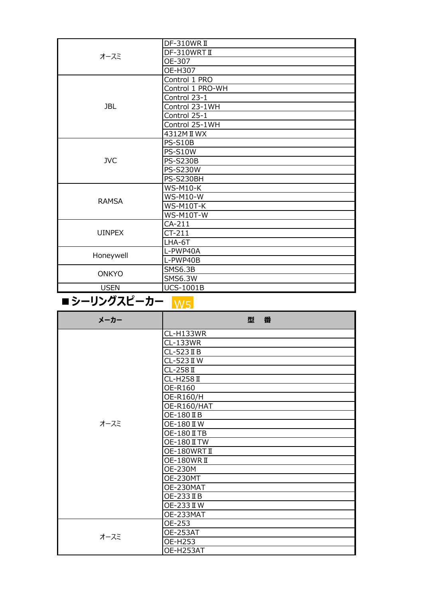| オースミ          | DF-310WRII       |
|---------------|------------------|
|               | DF-310WRTII      |
|               | OE-307           |
|               | OE-H307          |
|               | Control 1 PRO    |
|               | Control 1 PRO-WH |
|               | Control 23-1     |
| <b>JBL</b>    | Control 23-1WH   |
|               | Control 25-1     |
|               | Control 25-1WH   |
|               | 4312M II WX      |
|               | <b>PS-S10B</b>   |
|               | <b>PS-S10W</b>   |
| <b>JVC</b>    | <b>PS-S230B</b>  |
|               | <b>PS-S230W</b>  |
|               | PS-S230BH        |
|               | <b>WS-M10-K</b>  |
| <b>RAMSA</b>  | <b>WS-M10-W</b>  |
|               | WS-M10T-K        |
|               | <b>WS-M10T-W</b> |
|               | $CA-211$         |
| <b>UINPEX</b> | $CT-211$         |
|               | LHA-6T           |
| Honeywell     | L-PWP40A         |
|               | L-PWP40B         |
| <b>ONKYO</b>  | <b>SMS6.3B</b>   |
|               | <b>SMS6.3W</b>   |
| <b>USEN</b>   | <b>UCS-1001B</b> |

#### ■シーリングスピーカー <mark>W5</mark>

| メーカー | 型<br>番              |
|------|---------------------|
|      | CL-H133WR           |
|      | CL-133WR            |
|      | $CL-523$ II B       |
|      | CL-523 II W         |
|      | $CL-258$ II         |
|      | <b>CL-H258 II</b>   |
|      | OE-R160             |
|      | OE-R160/H           |
|      | OE-R160/HAT         |
|      | OE-180 II B         |
| オースミ | OE-180 II W         |
|      | OE-180 II TB        |
|      | <b>OE-180 II TW</b> |
|      | OE-180WRTII         |
|      | OE-180WRII          |
|      | <b>OE-230M</b>      |
|      | <b>OE-230MT</b>     |
|      | OE-230MAT           |
|      | OE-233 II B         |
|      | OE-233 II W         |
|      | OE-233MAT           |
|      | OE-253              |
| オースミ | OE-253AT            |
|      | <b>OE-H253</b>      |
|      | OE-H253AT           |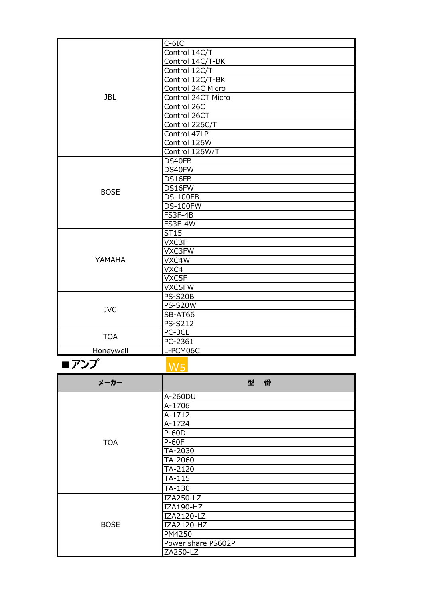|             | $C-6IC$            |
|-------------|--------------------|
|             | Control 14C/T      |
|             | Control 14C/T-BK   |
|             | Control 12C/T      |
|             | Control 12C/T-BK   |
|             | Control 24C Micro  |
| <b>JBL</b>  | Control 24CT Micro |
|             | Control 26C        |
|             | Control 26CT       |
|             | Control 226C/T     |
|             | Control 47LP       |
|             | Control 126W       |
|             | Control 126W/T     |
|             | DS40FB             |
|             | DS40FW             |
|             | DS16FB             |
|             | DS16FW             |
| <b>BOSE</b> | <b>DS-100FB</b>    |
|             | <b>DS-100FW</b>    |
|             | FS3F-4B            |
|             | FS3F-4W            |
|             | ST15               |
|             | VXC3F              |
|             | VXC3FW             |
| YAMAHA      | VXC4W              |
|             | VXC4               |
|             | VXC5F              |
|             | VXC5FW             |
| <b>JVC</b>  | <b>PS-S20B</b>     |
|             | <b>PS-S20W</b>     |
|             | SB-AT66            |
|             | PS-S212            |
| <b>TOA</b>  | PC-3CL             |
|             | PC-2361            |
| Honeywell   | L-PCM06C           |

**■アンプ**

W5

| メーカー        | 番<br>型             |
|-------------|--------------------|
|             | A-260DU            |
|             | A-1706             |
|             | A-1712             |
|             | A-1724             |
|             | P-60D              |
| <b>TOA</b>  | <b>P-60F</b>       |
|             | TA-2030            |
|             | TA-2060            |
|             | TA-2120            |
|             | TA-115             |
|             | TA-130             |
| <b>BOSE</b> | IZA250-LZ          |
|             | IZA190-HZ          |
|             | IZA2120-LZ         |
|             | IZA2120-HZ         |
|             | PM4250             |
|             | Power share PS602P |
|             | ZA250-LZ           |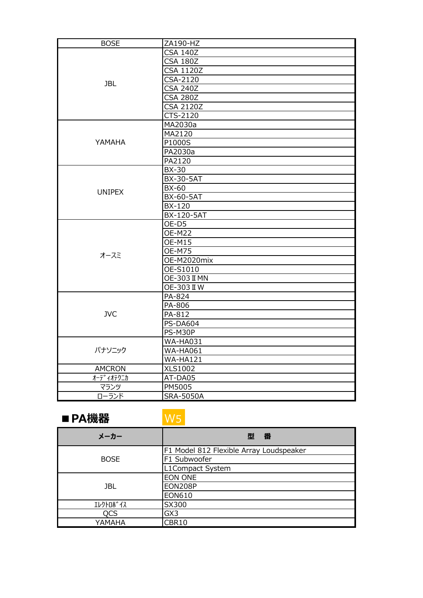| <b>BOSE</b>   | ZA190-HZ            |
|---------------|---------------------|
| <b>JBL</b>    | <b>CSA 140Z</b>     |
|               | <b>CSA 180Z</b>     |
|               | <b>CSA 1120Z</b>    |
|               | CSA-2120            |
|               | <b>CSA 240Z</b>     |
|               | <b>CSA 280Z</b>     |
|               | <b>CSA 2120Z</b>    |
|               | CTS-2120            |
|               | MA2030a             |
|               | MA2120              |
| YAMAHA        | P1000S              |
|               | PA2030a             |
|               | PA2120              |
|               | <b>BX-30</b>        |
|               | <b>BX-30-5AT</b>    |
| <b>UNIPEX</b> | <b>BX-60</b>        |
|               | <b>BX-60-5AT</b>    |
|               | <b>BX-120</b>       |
|               | BX-120-5AT          |
|               | OE-D5               |
|               | <b>OE-M22</b>       |
|               | <b>OE-M15</b>       |
| オースミ          | <b>OE-M75</b>       |
|               | OE-M2020mix         |
|               | OE-S1010            |
|               | <b>OE-303 II MN</b> |
|               | <b>OE-303 II W</b>  |
|               | PA-824              |
|               | PA-806              |
| <b>JVC</b>    | PA-812              |
|               | <b>PS-DA604</b>     |
|               | PS-M30P             |
|               | <b>WA-HA031</b>     |
| パナソニック        | <b>WA-HA061</b>     |
|               | <b>WA-HA121</b>     |
| <b>AMCRON</b> | <b>XLS1002</b>      |
| オーディオテクニカ     | AT-DA05             |
| マランツ          | PM5005              |
| ローランド         | <b>SRA-5050A</b>    |

#### **■PA機器**

# W5

| メーカー        | 番<br>型                                  |
|-------------|-----------------------------------------|
| <b>BOSE</b> | F1 Model 812 Flexible Array Loudspeaker |
|             | F1 Subwoofer                            |
|             | L1Compact System                        |
| JBL.        | <b>EON ONE</b>                          |
|             | <b>EON208P</b>                          |
|             | <b>EON610</b>                           |
| エレクトロホ イス   | SX300                                   |
| QCS         | GX3                                     |
| YAMAHA      | CBR10                                   |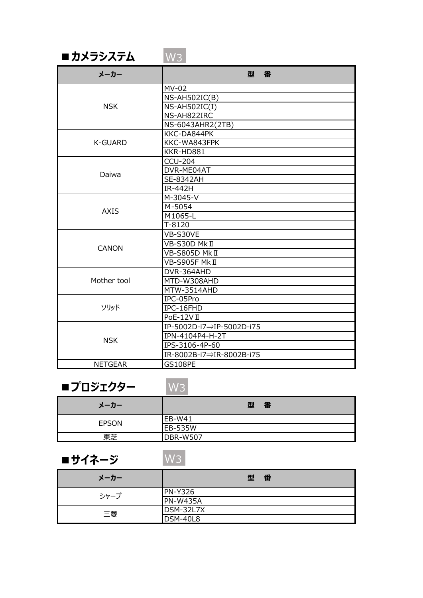| ■ カメラシステム | $\mathsf{W3} \mathsf{I}$ |
|-----------|--------------------------|
|           |                          |

| メーカー           | 型<br>番                   |
|----------------|--------------------------|
|                | MV-02                    |
|                | NS-AH502IC(B)            |
| <b>NSK</b>     | <b>NS-AH502IC(I)</b>     |
|                | NS-AH822IRC              |
|                | NS-6043AHR2(2TB)         |
|                | KKC-DA844PK              |
| <b>K-GUARD</b> | KKC-WA843FPK             |
|                | KKR-HD881                |
|                | <b>CCU-204</b>           |
| Daiwa          | DVR-ME04AT               |
|                | <b>SE-8342AH</b>         |
|                | IR-442H                  |
|                | M-3045-V                 |
| <b>AXIS</b>    | M-5054                   |
|                | M1065-L                  |
|                | $T-8120$                 |
|                | VB-S30VE                 |
|                | VB-S30D MkII             |
| <b>CANON</b>   | VB-S805D Mk II           |
|                | VB-S905F Mk II           |
|                | DVR-364AHD               |
| Mother tool    | MTD-W308AHD              |
|                | MTW-3514AHD              |
|                | IPC-05Pro                |
| ソリッド           | IPC-16FHD                |
|                | PoE-12VII                |
|                | IP-5002D-i7⇒IP-5002D-i75 |
|                | IPN-4104P4-H-2T          |
| <b>NSK</b>     | IPS-3106-4P-60           |
|                | IR-8002B-i7⇒IR-8002B-i75 |
| <b>NETGEAR</b> | <b>GS108PE</b>           |

#### ■**プロジェクター** W3

| メーカー         | 型<br>番          |
|--------------|-----------------|
| <b>EPSON</b> | EB-W41          |
|              | <b>EB-535W</b>  |
| 東芝           | <b>DBR-W507</b> |

## **■サイネージ**

W3

| メーカー | 番<br>型         |
|------|----------------|
| シャープ | <b>PN-Y326</b> |
|      | PN-W435A       |
| 三菱   | DSM-32L7X      |
|      | DSM-40L8       |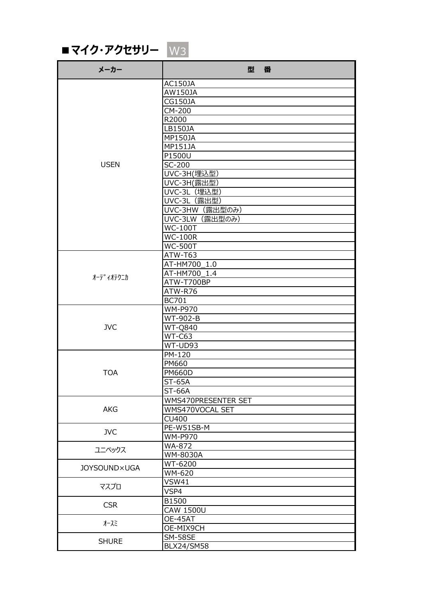■ マイク・アクセサリー W3

| メーカー                | 型<br>番                |
|---------------------|-----------------------|
|                     | AC150JA               |
|                     | AW150JA               |
|                     | <b>CG150JA</b>        |
|                     | CM-200                |
|                     | R2000                 |
|                     | LB150JA               |
|                     | MP150JA               |
|                     | <b>MP151JA</b>        |
|                     | P1500U                |
| <b>USEN</b>         | SC-200                |
|                     | UVC-3H(埋込型)           |
|                     | UVC-3H(露出型)           |
|                     | UVC-3L (埋込型)          |
|                     | UVC-3L (露出型)          |
|                     | UVC-3HW (露出型のみ)       |
|                     | UVC-3LW (露出型のみ)       |
|                     | $\overline{W}$ C-100T |
|                     | <b>WC-100R</b>        |
|                     | <b>WC-500T</b>        |
|                     | ATW-T63               |
|                     | AT-HM700 1.0          |
|                     | AT-HM700 1.4          |
| オーテ゛ィオテクニカ          | ATW-T700BP            |
|                     | ATW-R76               |
|                     | <b>BC701</b>          |
|                     | <b>WM-P970</b>        |
|                     | WT-902-B              |
| <b>JVC</b>          | <b>WT-Q840</b>        |
|                     | WT-C63                |
|                     | WT-UD93               |
|                     | PM-120                |
|                     | PM660                 |
| <b>TOA</b>          | <b>PM660D</b>         |
|                     |                       |
|                     | <b>ST-65A</b>         |
|                     | <b>ST-66A</b>         |
|                     | WMS470PRESENTER SET   |
| <b>AKG</b>          | WMS470VOCAL SET       |
|                     | <b>CU400</b>          |
| <b>JVC</b>          | PE-W51SB-M            |
|                     | <b>WM-P970</b>        |
| ユニペックス              | WA-872                |
|                     | WM-8030A              |
| <b>JOYSOUND×UGA</b> | WT-6200               |
|                     | WM-620                |
| マスプロ                | <b>VSW41</b>          |
|                     | VSP4                  |
| <b>CSR</b>          | B1500                 |
|                     | <b>CAW 1500U</b>      |
| オースミ                | OE-45AT               |
|                     | OE-MIX9CH             |
| <b>SHURE</b>        | <b>SM-58SE</b>        |
|                     | <b>BLX24/SM58</b>     |